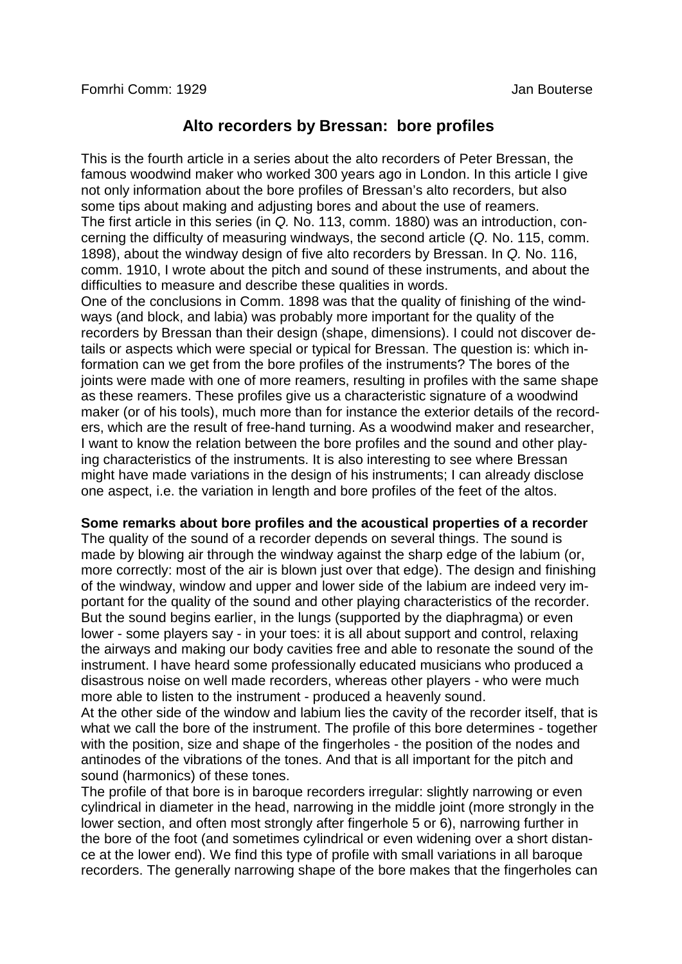# **Alto recorders by Bressan: bore profiles**

This is the fourth article in a series about the alto recorders of Peter Bressan, the famous woodwind maker who worked 300 years ago in London. In this article I give not only information about the bore profiles of Bressan's alto recorders, but also some tips about making and adjusting bores and about the use of reamers. The first article in this series (in *Q.* No. 113, comm. 1880) was an introduction, concerning the difficulty of measuring windways, the second article (*Q.* No. 115, comm. 1898), about the windway design of five alto recorders by Bressan. In *Q.* No. 116, comm. 1910, I wrote about the pitch and sound of these instruments, and about the difficulties to measure and describe these qualities in words.

One of the conclusions in Comm. 1898 was that the quality of finishing of the windways (and block, and labia) was probably more important for the quality of the recorders by Bressan than their design (shape, dimensions). I could not discover details or aspects which were special or typical for Bressan. The question is: which information can we get from the bore profiles of the instruments? The bores of the joints were made with one of more reamers, resulting in profiles with the same shape as these reamers. These profiles give us a characteristic signature of a woodwind maker (or of his tools), much more than for instance the exterior details of the recorders, which are the result of free-hand turning. As a woodwind maker and researcher, I want to know the relation between the bore profiles and the sound and other playing characteristics of the instruments. It is also interesting to see where Bressan might have made variations in the design of his instruments; I can already disclose one aspect, i.e. the variation in length and bore profiles of the feet of the altos.

## **Some remarks about bore profiles and the acoustical properties of a recorder**

The quality of the sound of a recorder depends on several things. The sound is made by blowing air through the windway against the sharp edge of the labium (or, more correctly: most of the air is blown just over that edge). The design and finishing of the windway, window and upper and lower side of the labium are indeed very important for the quality of the sound and other playing characteristics of the recorder. But the sound begins earlier, in the lungs (supported by the diaphragma) or even lower - some players say - in your toes: it is all about support and control, relaxing the airways and making our body cavities free and able to resonate the sound of the instrument. I have heard some professionally educated musicians who produced a disastrous noise on well made recorders, whereas other players - who were much more able to listen to the instrument - produced a heavenly sound.

At the other side of the window and labium lies the cavity of the recorder itself, that is what we call the bore of the instrument. The profile of this bore determines - together with the position, size and shape of the fingerholes - the position of the nodes and antinodes of the vibrations of the tones. And that is all important for the pitch and sound (harmonics) of these tones.

The profile of that bore is in baroque recorders irregular: slightly narrowing or even cylindrical in diameter in the head, narrowing in the middle joint (more strongly in the lower section, and often most strongly after fingerhole 5 or 6), narrowing further in the bore of the foot (and sometimes cylindrical or even widening over a short distance at the lower end). We find this type of profile with small variations in all baroque recorders. The generally narrowing shape of the bore makes that the fingerholes can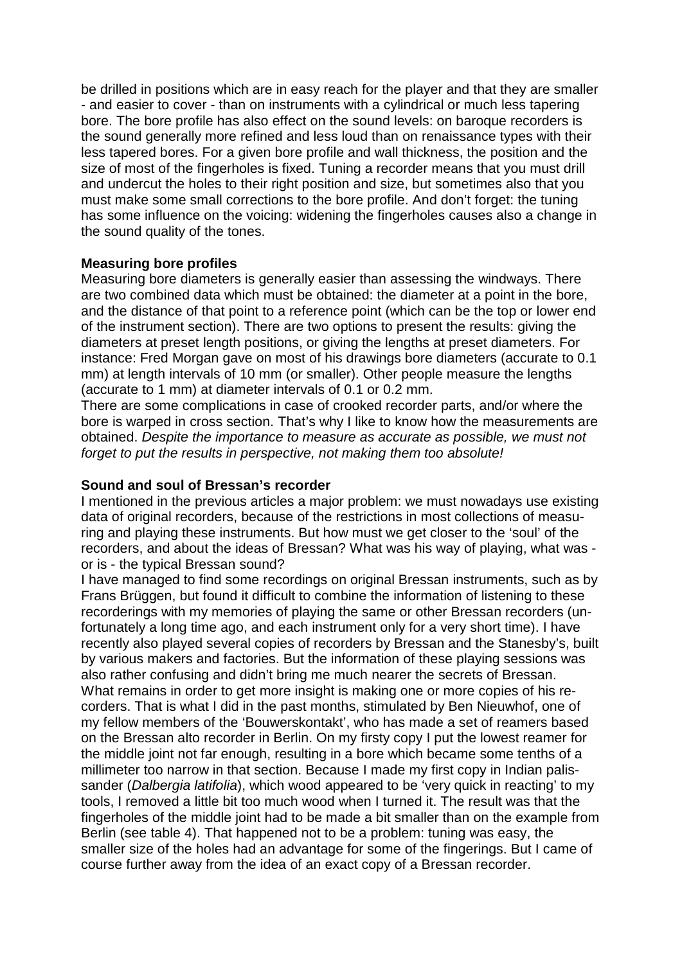be drilled in positions which are in easy reach for the player and that they are smaller - and easier to cover - than on instruments with a cylindrical or much less tapering bore. The bore profile has also effect on the sound levels: on baroque recorders is the sound generally more refined and less loud than on renaissance types with their less tapered bores. For a given bore profile and wall thickness, the position and the size of most of the fingerholes is fixed. Tuning a recorder means that you must drill and undercut the holes to their right position and size, but sometimes also that you must make some small corrections to the bore profile. And don't forget: the tuning has some influence on the voicing: widening the fingerholes causes also a change in the sound quality of the tones.

## **Measuring bore profiles**

Measuring bore diameters is generally easier than assessing the windways. There are two combined data which must be obtained: the diameter at a point in the bore, and the distance of that point to a reference point (which can be the top or lower end of the instrument section). There are two options to present the results: giving the diameters at preset length positions, or giving the lengths at preset diameters. For instance: Fred Morgan gave on most of his drawings bore diameters (accurate to 0.1 mm) at length intervals of 10 mm (or smaller). Other people measure the lengths (accurate to 1 mm) at diameter intervals of 0.1 or 0.2 mm.

There are some complications in case of crooked recorder parts, and/or where the bore is warped in cross section. That's why I like to know how the measurements are obtained. *Despite the importance to measure as accurate as possible, we must not forget to put the results in perspective, not making them too absolute!*

## **Sound and soul of Bressan's recorder**

I mentioned in the previous articles a major problem: we must nowadays use existing data of original recorders, because of the restrictions in most collections of measuring and playing these instruments. But how must we get closer to the 'soul' of the recorders, and about the ideas of Bressan? What was his way of playing, what was or is - the typical Bressan sound?

I have managed to find some recordings on original Bressan instruments, such as by Frans Brüggen, but found it difficult to combine the information of listening to these recorderings with my memories of playing the same or other Bressan recorders (unfortunately a long time ago, and each instrument only for a very short time). I have recently also played several copies of recorders by Bressan and the Stanesby's, built by various makers and factories. But the information of these playing sessions was also rather confusing and didn't bring me much nearer the secrets of Bressan. What remains in order to get more insight is making one or more copies of his recorders. That is what I did in the past months, stimulated by Ben Nieuwhof, one of my fellow members of the 'Bouwerskontakt', who has made a set of reamers based on the Bressan alto recorder in Berlin. On my firsty copy I put the lowest reamer for the middle joint not far enough, resulting in a bore which became some tenths of a millimeter too narrow in that section. Because I made my first copy in Indian palissander (*Dalbergia latifolia*), which wood appeared to be 'very quick in reacting' to my tools, I removed a little bit too much wood when I turned it. The result was that the fingerholes of the middle joint had to be made a bit smaller than on the example from Berlin (see table 4). That happened not to be a problem: tuning was easy, the smaller size of the holes had an advantage for some of the fingerings. But I came of course further away from the idea of an exact copy of a Bressan recorder.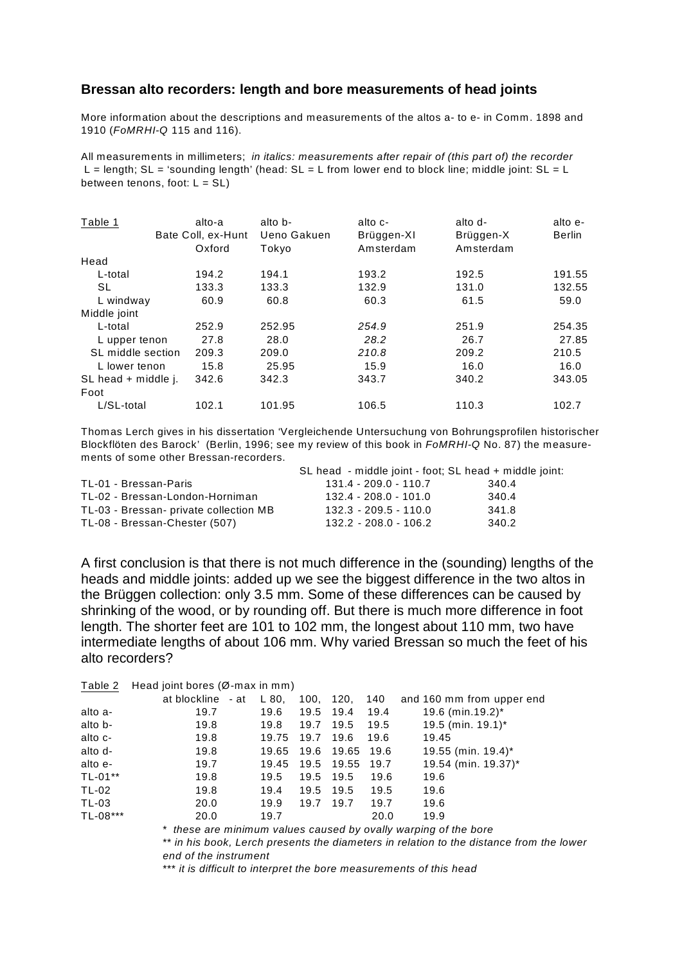#### **Bressan alto recorders: length and bore measurements of head joints**

More information about the descriptions and measurements of the altos a- to e- in Comm. 1898 and 1910 (*FoMRHI-Q* 115 and 116).

All measurements in millimeters; *in italics: measurements after repair of (this part of) the recorder*  $L =$  length; SL = 'sounding length' (head: SL = L from lower end to block line; middle joint: SL = L between tenons, foot:  $L = SL$ )

| Table 1             | alto-a<br>Bate Coll, ex-Hunt | alto b-<br>Ueno Gakuen | alto c-<br>Brüggen-XI | alto d-<br>Brüggen-X | alto e-<br><b>Berlin</b> |
|---------------------|------------------------------|------------------------|-----------------------|----------------------|--------------------------|
|                     | Oxford                       | Tokyo                  | Amsterdam             | Amsterdam            |                          |
| Head                |                              |                        |                       |                      |                          |
| L-total             | 194.2                        | 194.1                  | 193.2                 | 192.5                | 191.55                   |
| SL                  | 133.3                        | 133.3                  | 132.9                 | 131.0                | 132.55                   |
| L windway           | 60.9                         | 60.8                   | 60.3                  | 61.5                 | 59.0                     |
| Middle joint        |                              |                        |                       |                      |                          |
| L-total             | 252.9                        | 252.95                 | 254.9                 | 251.9                | 254.35                   |
| L upper tenon       | 27.8                         | 28.0                   | 28.2                  | 26.7                 | 27.85                    |
| SL middle section   | 209.3                        | 209.0                  | 210.8                 | 209.2                | 210.5                    |
| L lower tenon       | 15.8                         | 25.95                  | 15.9                  | 16.0                 | 16.0                     |
| SL head + middle j. | 342.6                        | 342.3                  | 343.7                 | 340.2                | 343.05                   |
| Foot                |                              |                        |                       |                      |                          |
| L/SL-total          | 102.1                        | 101.95                 | 106.5                 | 110.3                | 102.7                    |

Thomas Lerch gives in his dissertation 'Vergleichende Untersuchung von Bohrungsprofilen historischer Blockflöten des Barock' (Berlin, 1996; see my review of this book in *FoMRHI-Q* No. 87) the measurements of some other Bressan-recorders.

|                                        | SL head - middle joint - foot; SL head + middle joint: |       |
|----------------------------------------|--------------------------------------------------------|-------|
| TL-01 - Bressan-Paris                  | $131.4 - 209.0 - 110.7$                                | 340.4 |
| TL-02 - Bressan-London-Horniman        | 132.4 - 208.0 - 101.0                                  | 340.4 |
| TL-03 - Bressan- private collection MB | $132.3 - 209.5 - 110.0$                                | 341.8 |
| TL-08 - Bressan-Chester (507)          | $132.2 - 208.0 - 106.2$                                | 340.2 |

A first conclusion is that there is not much difference in the (sounding) lengths of the heads and middle joints: added up we see the biggest difference in the two altos in the Brüggen collection: only 3.5 mm. Some of these differences can be caused by shrinking of the wood, or by rounding off. But there is much more difference in foot length. The shorter feet are 101 to 102 mm, the longest about 110 mm, two have intermediate lengths of about 106 mm. Why varied Bressan so much the feet of his alto recorders?

|  | Table 2 Head joint bores $(\emptyset$ -max in mm) |  |  |
|--|---------------------------------------------------|--|--|
|  |                                                   |  |  |

|          |      |            |           |                       |      | at blockline $-at$ L 80, 100, 120, 140 and 160 mm from upper end |
|----------|------|------------|-----------|-----------------------|------|------------------------------------------------------------------|
| alto a-  | 19.7 | 19.6       | 19.5 19.4 |                       | 19.4 | 19.6 (min.19.2)*                                                 |
| alto b-  | 19.8 | 19.8       | 19.7      | 19.5                  | 19.5 | 19.5 (min. 19.1)*                                                |
| alto c-  | 19.8 | 19.75 19.7 |           | 19.6                  | 19.6 | 19.45                                                            |
| alto d-  | 19.8 |            |           | 19.65 19.6 19.65 19.6 |      | $19.55$ (min. 19.4)*                                             |
| alto e-  | 19.7 |            |           | 19.45 19.5 19.55 19.7 |      | 19.54 (min. 19.37)*                                              |
| TL-01**  | 19.8 | 19.5       |           | 19.5 19.5             | 19.6 | 19.6                                                             |
| TL-02    | 19.8 | 19.4       |           | 19.5 19.5             | 19.5 | 19.6                                                             |
| TL-03    | 20.0 | 19.9       | 19.7      | 19.7                  | 19.7 | 19.6                                                             |
| TL-08*** | 20.0 | 19.7       |           |                       | 20.0 | 19.9                                                             |

\* *these are minimum values caused by ovally warping of the bore* \*\* *in his book, Lerch presents the diameters in relation to the distance from the lower end of the instrument*

\*\*\* *it is difficult to interpret the bore measurements of this head*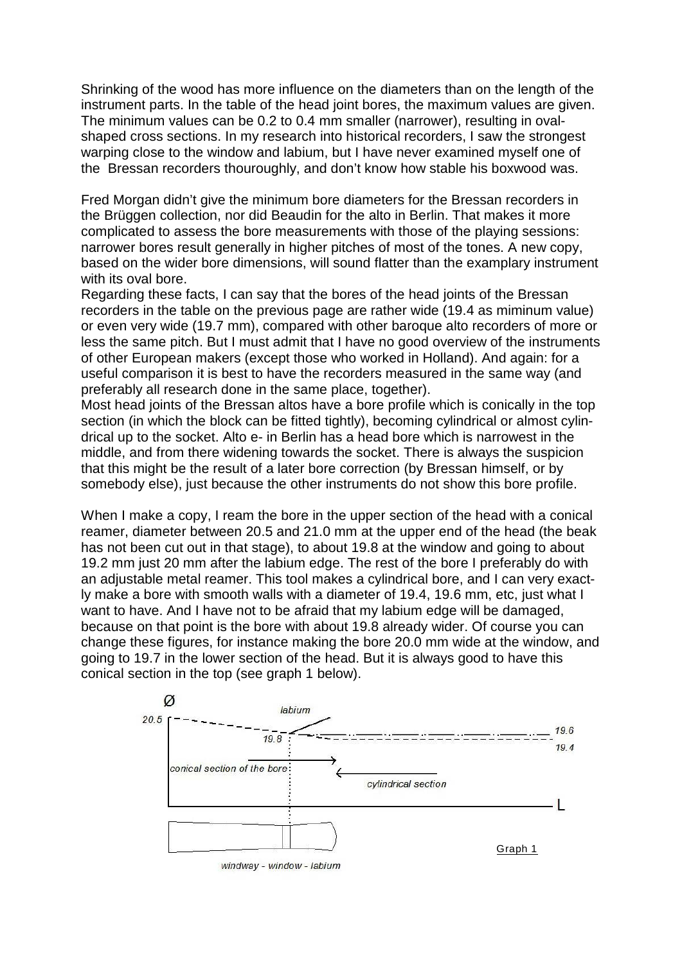Shrinking of the wood has more influence on the diameters than on the length of the instrument parts. In the table of the head joint bores, the maximum values are given. The minimum values can be 0.2 to 0.4 mm smaller (narrower), resulting in ovalshaped cross sections. In my research into historical recorders, I saw the strongest warping close to the window and labium, but I have never examined myself one of the Bressan recorders thouroughly, and don't know how stable his boxwood was.

Fred Morgan didn't give the minimum bore diameters for the Bressan recorders in the Brüggen collection, nor did Beaudin for the alto in Berlin. That makes it more complicated to assess the bore measurements with those of the playing sessions: narrower bores result generally in higher pitches of most of the tones. A new copy, based on the wider bore dimensions, will sound flatter than the examplary instrument with its oval bore.

Regarding these facts, I can say that the bores of the head joints of the Bressan recorders in the table on the previous page are rather wide (19.4 as miminum value) or even very wide (19.7 mm), compared with other baroque alto recorders of more or less the same pitch. But I must admit that I have no good overview of the instruments of other European makers (except those who worked in Holland). And again: for a useful comparison it is best to have the recorders measured in the same way (and preferably all research done in the same place, together).

Most head joints of the Bressan altos have a bore profile which is conically in the top section (in which the block can be fitted tightly), becoming cylindrical or almost cylindrical up to the socket. Alto e- in Berlin has a head bore which is narrowest in the middle, and from there widening towards the socket. There is always the suspicion that this might be the result of a later bore correction (by Bressan himself, or by somebody else), just because the other instruments do not show this bore profile.

When I make a copy, I ream the bore in the upper section of the head with a conical reamer, diameter between 20.5 and 21.0 mm at the upper end of the head (the beak has not been cut out in that stage), to about 19.8 at the window and going to about 19.2 mm just 20 mm after the labium edge. The rest of the bore I preferably do with an adjustable metal reamer. This tool makes a cylindrical bore, and I can very exactly make a bore with smooth walls with a diameter of 19.4, 19.6 mm, etc, just what I want to have. And I have not to be afraid that my labium edge will be damaged, because on that point is the bore with about 19.8 already wider. Of course you can change these figures, for instance making the bore 20.0 mm wide at the window, and going to 19.7 in the lower section of the head. But it is always good to have this conical section in the top (see graph 1 below).

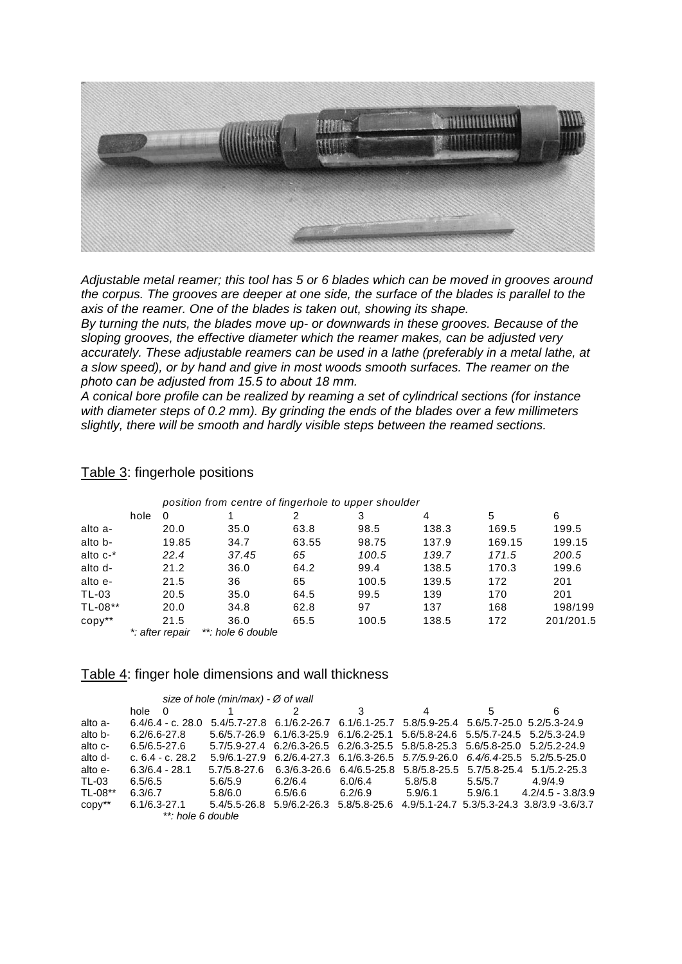

*Adjustable metal reamer; this tool has 5 or 6 blades which can be moved in grooves around the corpus. The grooves are deeper at one side, the surface of the blades is parallel to the axis of the reamer. One of the blades is taken out, showing its shape.*

*By turning the nuts, the blades move up- or downwards in these grooves. Because of the sloping grooves, the effective diameter which the reamer makes, can be adjusted very accurately. These adjustable reamers can be used in a lathe (preferably in a metal lathe, at a slow speed), or by hand and give in most woods smooth surfaces. The reamer on the photo can be adjusted from 15.5 to about 18 mm.* 

*A conical bore profile can be realized by reaming a set of cylindrical sections (for instance with diameter steps of 0.2 mm). By grinding the ends of the blades over a few millimeters slightly, there will be smooth and hardly visible steps between the reamed sections.* 

| position from centre of fingerhole to upper shoulder |      |                 |                   |       |       |       |        |           |  |
|------------------------------------------------------|------|-----------------|-------------------|-------|-------|-------|--------|-----------|--|
|                                                      | hole | 0               |                   | 2     | 3     | 4     | 5      | 6         |  |
| alto a-                                              |      | 20.0            | 35.0              | 63.8  | 98.5  | 138.3 | 169.5  | 199.5     |  |
| alto b-                                              |      | 19.85           | 34.7              | 63.55 | 98.75 | 137.9 | 169.15 | 199.15    |  |
| alto $c^{-*}$                                        |      | 22.4            | 37.45             | 65    | 100.5 | 139.7 | 171.5  | 200.5     |  |
| alto d-                                              |      | 21.2            | 36.0              | 64.2  | 99.4  | 138.5 | 170.3  | 199.6     |  |
| alto e-                                              |      | 21.5            | 36                | 65    | 100.5 | 139.5 | 172    | 201       |  |
| <b>TL-03</b>                                         |      | 20.5            | 35.0              | 64.5  | 99.5  | 139   | 170    | 201       |  |
| TL-08**                                              |      | 20.0            | 34.8              | 62.8  | 97    | 137   | 168    | 198/199   |  |
| $copy**$                                             |      | 21.5            | 36.0              | 65.5  | 100.5 | 138.5 | 172    | 201/201.5 |  |
|                                                      |      | *: after repair | **: hole 6 double |       |       |       |        |           |  |

### Table 3: fingerhole positions

#### Table 4: finger hole dimensions and wall thickness

|          |                    | size of hole (min/max) - $\varnothing$ of wall |                                                                               |                           |         |         |                                                                               |
|----------|--------------------|------------------------------------------------|-------------------------------------------------------------------------------|---------------------------|---------|---------|-------------------------------------------------------------------------------|
|          | hole 0             |                                                |                                                                               | 3                         | 4       | 5       | 6                                                                             |
| alto a-  | $6.4/6.4 - c.28.0$ |                                                | 5.4/5.7-27.8 6.1/6.2-26.7 6.1/6.1-25.7 5.8/5.9-25.4 5.6/5.7-25.0 5.2/5.3-24.9 |                           |         |         |                                                                               |
| alto b-  | $6.2/6.6 - 27.8$   |                                                |                                                                               |                           |         |         | 5.6/5.7-26.9 6.1/6.3-25.9 6.1/6.2-25.1 5.6/5.8-24.6 5.5/5.7-24.5 5.2/5.3-24.9 |
| alto c-  | 6.5/6.5-27.6       |                                                |                                                                               |                           |         |         | 5.7/5.9-27.4 6.2/6.3-26.5 6.2/6.3-25.5 5.8/5.8-25.3 5.6/5.8-25.0 5.2/5.2-24.9 |
| alto d-  | c. $6.4 - c. 28.2$ |                                                |                                                                               |                           |         |         | 5.9/6.1-27.9 6.2/6.4-27.3 6.1/6.3-26.5 5.7/5.9-26.0 6.4/6.4-25.5 5.2/5.5-25.0 |
| alto e-  | $6.3/6.4 - 28.1$   | $5.7/5.8 - 27.6$                               |                                                                               | 6.3/6.3-26.6 6.4/6.5-25.8 |         |         | 5.8/5.8-25.5 5.7/5.8-25.4 5.1/5.2-25.3                                        |
| TL-03    | 6.5/6.5            | 5.6/5.9                                        | 6.2/6.4                                                                       | 6.0/6.4                   | 5.8/5.8 | 5.5/5.7 | 4.9/4.9                                                                       |
| TL-08**  | 6.3/6.7            | 5.8/6.0                                        | $6.5/6.6$ $6.2/6.9$                                                           |                           | 5.9/6.1 |         | $5.9/6.1$ $4.2/4.5 - 3.8/3.9$                                                 |
| $copy**$ | $6.1/6.3 - 27.1$   |                                                | 5.4/5.5-26.8 5.9/6.2-26.3 5.8/5.8-25.6                                        |                           |         |         | 4.9/5.1-24.7 5.3/5.3-24.3 3.8/3.9 -3.6/3.7                                    |
|          | **: hole 6 double  |                                                |                                                                               |                           |         |         |                                                                               |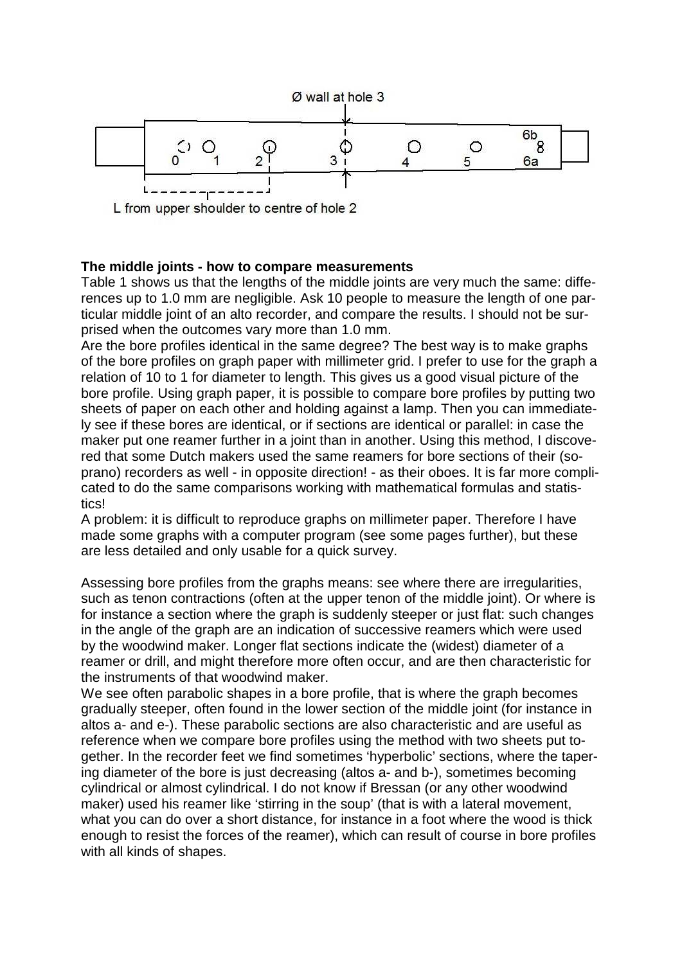

L from upper shoulder to centre of hole 2

## **The middle joints - how to compare measurements**

Table 1 shows us that the lengths of the middle joints are very much the same: differences up to 1.0 mm are negligible. Ask 10 people to measure the length of one particular middle joint of an alto recorder, and compare the results. I should not be surprised when the outcomes vary more than 1.0 mm.

Are the bore profiles identical in the same degree? The best way is to make graphs of the bore profiles on graph paper with millimeter grid. I prefer to use for the graph a relation of 10 to 1 for diameter to length. This gives us a good visual picture of the bore profile. Using graph paper, it is possible to compare bore profiles by putting two sheets of paper on each other and holding against a lamp. Then you can immediately see if these bores are identical, or if sections are identical or parallel: in case the maker put one reamer further in a joint than in another. Using this method, I discovered that some Dutch makers used the same reamers for bore sections of their (soprano) recorders as well - in opposite direction! - as their oboes. It is far more complicated to do the same comparisons working with mathematical formulas and statistics!

A problem: it is difficult to reproduce graphs on millimeter paper. Therefore I have made some graphs with a computer program (see some pages further), but these are less detailed and only usable for a quick survey.

Assessing bore profiles from the graphs means: see where there are irregularities, such as tenon contractions (often at the upper tenon of the middle joint). Or where is for instance a section where the graph is suddenly steeper or just flat: such changes in the angle of the graph are an indication of successive reamers which were used by the woodwind maker. Longer flat sections indicate the (widest) diameter of a reamer or drill, and might therefore more often occur, and are then characteristic for the instruments of that woodwind maker.

We see often parabolic shapes in a bore profile, that is where the graph becomes gradually steeper, often found in the lower section of the middle joint (for instance in altos a- and e-). These parabolic sections are also characteristic and are useful as reference when we compare bore profiles using the method with two sheets put together. In the recorder feet we find sometimes 'hyperbolic' sections, where the tapering diameter of the bore is just decreasing (altos a- and b-), sometimes becoming cylindrical or almost cylindrical. I do not know if Bressan (or any other woodwind maker) used his reamer like 'stirring in the soup' (that is with a lateral movement, what you can do over a short distance, for instance in a foot where the wood is thick enough to resist the forces of the reamer), which can result of course in bore profiles with all kinds of shapes.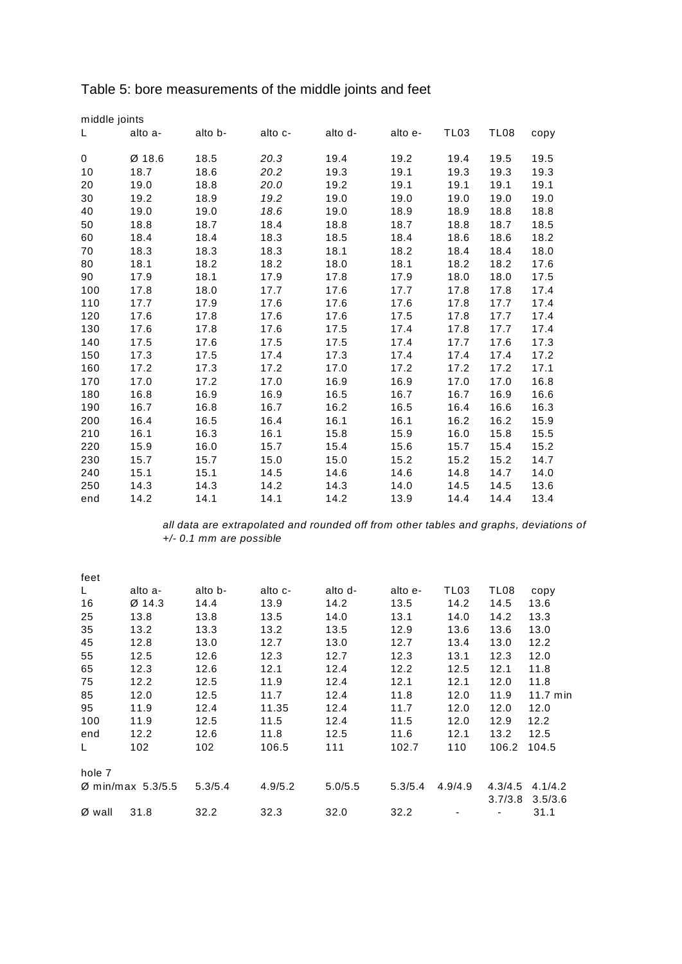| middle joints |          |         |         |         |         |                  |      |      |
|---------------|----------|---------|---------|---------|---------|------------------|------|------|
| L             | alto a-  | alto b- | alto c- | alto d- | alto e- | TL <sub>03</sub> | TL08 | copy |
|               |          |         |         |         |         |                  |      |      |
| 0             | $Ø$ 18.6 | 18.5    | 20.3    | 19.4    | 19.2    | 19.4             | 19.5 | 19.5 |
| 10            | 18.7     | 18.6    | 20.2    | 19.3    | 19.1    | 19.3             | 19.3 | 19.3 |
| 20            | 19.0     | 18.8    | 20.0    | 19.2    | 19.1    | 19.1             | 19.1 | 19.1 |
| 30            | 19.2     | 18.9    | 19.2    | 19.0    | 19.0    | 19.0             | 19.0 | 19.0 |
| 40            | 19.0     | 19.0    | 18.6    | 19.0    | 18.9    | 18.9             | 18.8 | 18.8 |
| 50            | 18.8     | 18.7    | 18.4    | 18.8    | 18.7    | 18.8             | 18.7 | 18.5 |
| 60            | 18.4     | 18.4    | 18.3    | 18.5    | 18.4    | 18.6             | 18.6 | 18.2 |
| 70            | 18.3     | 18.3    | 18.3    | 18.1    | 18.2    | 18.4             | 18.4 | 18.0 |
| 80            | 18.1     | 18.2    | 18.2    | 18.0    | 18.1    | 18.2             | 18.2 | 17.6 |
| 90            | 17.9     | 18.1    | 17.9    | 17.8    | 17.9    | 18.0             | 18.0 | 17.5 |
| 100           | 17.8     | 18.0    | 17.7    | 17.6    | 17.7    | 17.8             | 17.8 | 17.4 |
| 110           | 17.7     | 17.9    | 17.6    | 17.6    | 17.6    | 17.8             | 17.7 | 17.4 |
| 120           | 17.6     | 17.8    | 17.6    | 17.6    | 17.5    | 17.8             | 17.7 | 17.4 |
| 130           | 17.6     | 17.8    | 17.6    | 17.5    | 17.4    | 17.8             | 17.7 | 17.4 |
| 140           | 17.5     | 17.6    | 17.5    | 17.5    | 17.4    | 17.7             | 17.6 | 17.3 |
| 150           | 17.3     | 17.5    | 17.4    | 17.3    | 17.4    | 17.4             | 17.4 | 17.2 |
| 160           | 17.2     | 17.3    | 17.2    | 17.0    | 17.2    | 17.2             | 17.2 | 17.1 |
| 170           | 17.0     | 17.2    | 17.0    | 16.9    | 16.9    | 17.0             | 17.0 | 16.8 |
| 180           | 16.8     | 16.9    | 16.9    | 16.5    | 16.7    | 16.7             | 16.9 | 16.6 |
| 190           | 16.7     | 16.8    | 16.7    | 16.2    | 16.5    | 16.4             | 16.6 | 16.3 |
| 200           | 16.4     | 16.5    | 16.4    | 16.1    | 16.1    | 16.2             | 16.2 | 15.9 |
| 210           | 16.1     | 16.3    | 16.1    | 15.8    | 15.9    | 16.0             | 15.8 | 15.5 |
| 220           | 15.9     | 16.0    | 15.7    | 15.4    | 15.6    | 15.7             | 15.4 | 15.2 |
| 230           | 15.7     | 15.7    | 15.0    | 15.0    | 15.2    | 15.2             | 15.2 | 14.7 |
| 240           | 15.1     | 15.1    | 14.5    | 14.6    | 14.6    | 14.8             | 14.7 | 14.0 |
| 250           | 14.3     | 14.3    | 14.2    | 14.3    | 14.0    | 14.5             | 14.5 | 13.6 |
| end           | 14.2     | 14.1    | 14.1    | 14.2    | 13.9    | 14.4             | 14.4 | 13.4 |

# Table 5: bore measurements of the middle joints and feet

*all data are extrapolated and rounded off from other tables and graphs, deviations of +/- 0.1 mm are possible*

| feet   |                               |         |         |         |         |                  |         |                    |
|--------|-------------------------------|---------|---------|---------|---------|------------------|---------|--------------------|
| L.     | alto a-                       | alto b- | alto c- | alto d- | alto e- | TL <sub>03</sub> | TL08    | copy               |
| 16     | $Ø$ 14.3                      | 14.4    | 13.9    | 14.2    | 13.5    | 14.2             | 14.5    | 13.6               |
| 25     | 13.8                          | 13.8    | 13.5    | 14.0    | 13.1    | 14.0             | 14.2    | 13.3               |
| 35     | 13.2                          | 13.3    | 13.2    | 13.5    | 12.9    | 13.6             | 13.6    | 13.0               |
| 45     | 12.8                          | 13.0    | 12.7    | 13.0    | 12.7    | 13.4             | 13.0    | 12.2               |
| 55     | 12.5                          | 12.6    | 12.3    | 12.7    | 12.3    | 13.1             | 12.3    | 12.0               |
| 65     | 12.3                          | 12.6    | 12.1    | 12.4    | 12.2    | 12.5             | 12.1    | 11.8               |
| 75     | 12.2                          | 12.5    | 11.9    | 12.4    | 12.1    | 12.1             | 12.0    | 11.8               |
| 85     | 12.0                          | 12.5    | 11.7    | 12.4    | 11.8    | 12.0             | 11.9    | $11.7 \text{ min}$ |
| 95     | 11.9                          | 12.4    | 11.35   | 12.4    | 11.7    | 12.0             | 12.0    | 12.0               |
| 100    | 11.9                          | 12.5    | 11.5    | 12.4    | 11.5    | 12.0             | 12.9    | 12.2               |
| end    | 12.2                          | 12.6    | 11.8    | 12.5    | 11.6    | 12.1             | 13.2    | 12.5               |
| L.     | 102                           | 102     | 106.5   | 111     | 102.7   | 110              | 106.2   | 104.5              |
| hole 7 |                               |         |         |         |         |                  |         |                    |
|        | $\varnothing$ min/max 5.3/5.5 | 5.3/5.4 | 4.9/5.2 | 5.0/5.5 | 5.3/5.4 | 4.9/4.9          | 4.3/4.5 | 4.1/4.2            |
|        |                               |         |         |         |         |                  | 3.7/3.8 | 3.5/3.6            |
| Ø wall | 31.8                          | 32.2    | 32.3    | 32.0    | 32.2    |                  |         | 31.1               |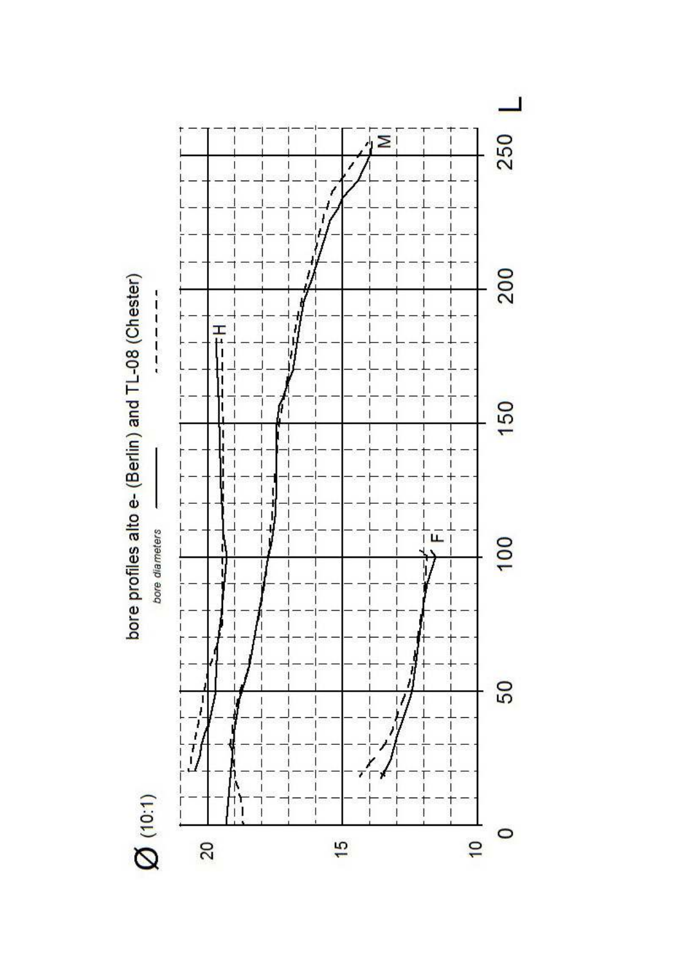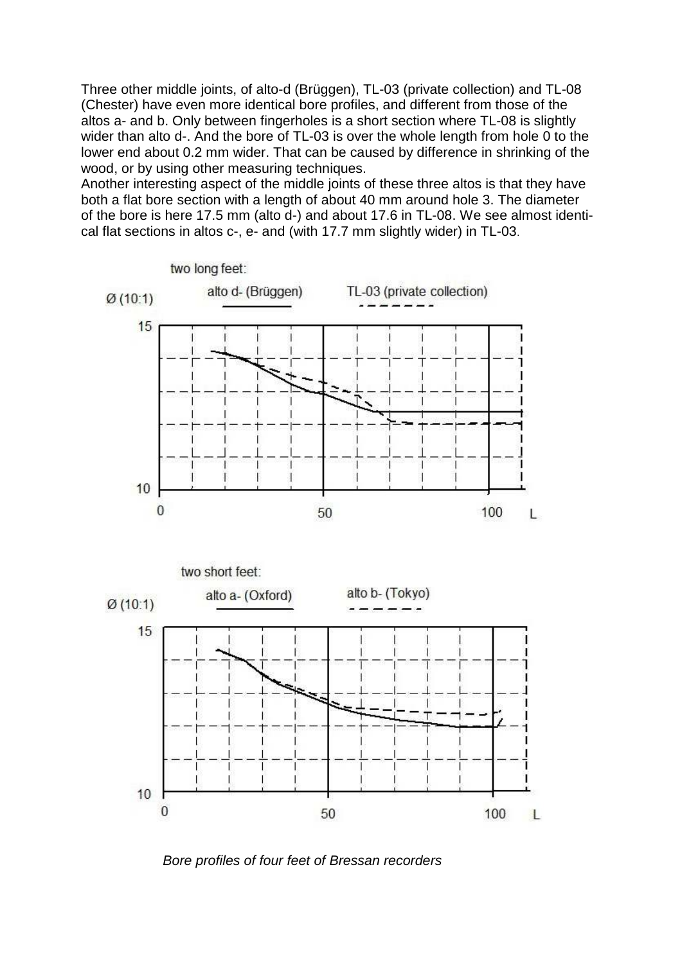Three other middle joints, of alto-d (Brüggen), TL-03 (private collection) and TL-08 (Chester) have even more identical bore profiles, and different from those of the altos a- and b. Only between fingerholes is a short section where TL-08 is slightly wider than alto d-. And the bore of TL-03 is over the whole length from hole 0 to the lower end about 0.2 mm wider. That can be caused by difference in shrinking of the wood, or by using other measuring techniques.

Another interesting aspect of the middle joints of these three altos is that they have both a flat bore section with a length of about 40 mm around hole 3. The diameter of the bore is here 17.5 mm (alto d-) and about 17.6 in TL-08. We see almost identical flat sections in altos c-, e- and (with 17.7 mm slightly wider) in TL-03.



*Bore profiles of four feet of Bressan recorders*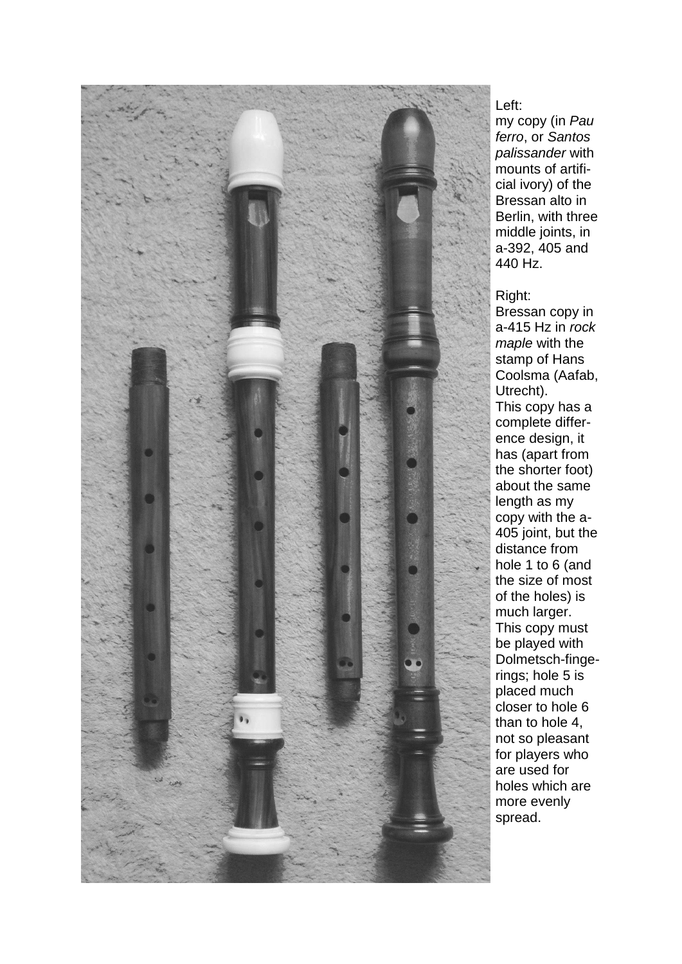

Left:

my copy (in *Pau ferro*, or *Santos palissander* with mounts of artificial ivory) of the Bressan alto in Berlin, with three middle joints, in a-392, 405 and 440 Hz.

### Right:

Bressan copy in a-415 Hz in *rock maple* with the stamp of Hans Coolsma (Aafab, Utrecht). This copy has a complete difference design, it has (apart from the shorter foot) about the same length as my copy with the a-405 joint, but the distance from hole 1 to 6 (and the size of most of the holes) is much larger. This copy must be played with Dolmetsch-fingerings; hole 5 is placed much closer to hole 6 than to hole 4, not so pleasant for players who are used for holes which are more evenly spread.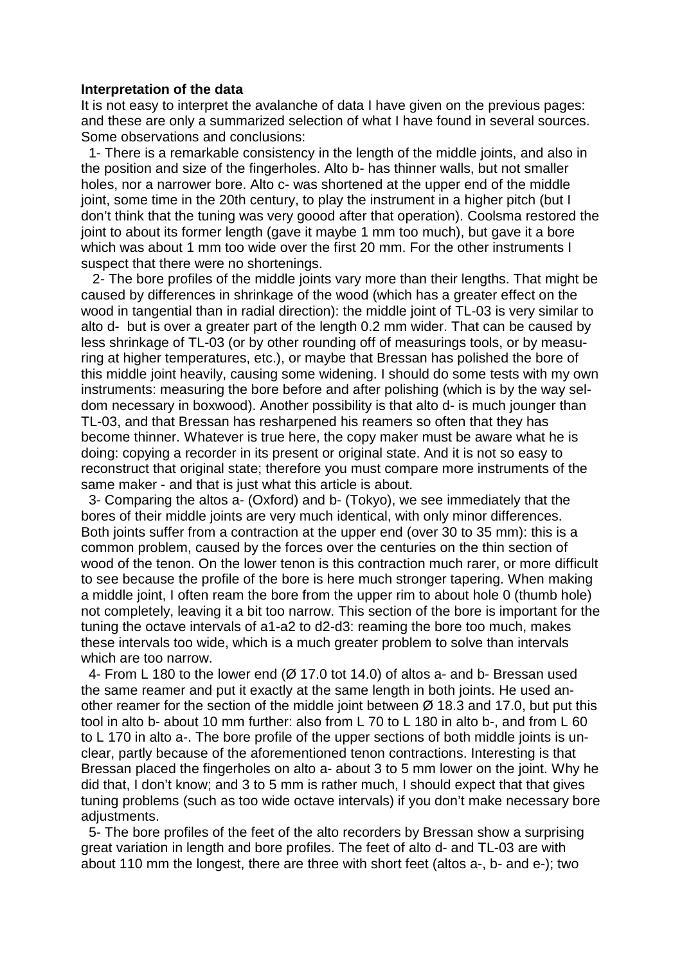#### **Interpretation of the data**

It is not easy to interpret the avalanche of data I have given on the previous pages: and these are only a summarized selection of what I have found in several sources. Some observations and conclusions:

 1- There is a remarkable consistency in the length of the middle joints, and also in the position and size of the fingerholes. Alto b- has thinner walls, but not smaller holes, nor a narrower bore. Alto c- was shortened at the upper end of the middle joint, some time in the 20th century, to play the instrument in a higher pitch (but I don't think that the tuning was very goood after that operation). Coolsma restored the joint to about its former length (gave it maybe 1 mm too much), but gave it a bore which was about 1 mm too wide over the first 20 mm. For the other instruments I suspect that there were no shortenings.

 2- The bore profiles of the middle joints vary more than their lengths. That might be caused by differences in shrinkage of the wood (which has a greater effect on the wood in tangential than in radial direction): the middle joint of TL-03 is very similar to alto d- but is over a greater part of the length 0.2 mm wider. That can be caused by less shrinkage of TL-03 (or by other rounding off of measurings tools, or by measuring at higher temperatures, etc.), or maybe that Bressan has polished the bore of this middle joint heavily, causing some widening. I should do some tests with my own instruments: measuring the bore before and after polishing (which is by the way seldom necessary in boxwood). Another possibility is that alto d- is much jounger than TL-03, and that Bressan has resharpened his reamers so often that they has become thinner. Whatever is true here, the copy maker must be aware what he is doing: copying a recorder in its present or original state. And it is not so easy to reconstruct that original state; therefore you must compare more instruments of the same maker - and that is just what this article is about.

 3- Comparing the altos a- (Oxford) and b- (Tokyo), we see immediately that the bores of their middle joints are very much identical, with only minor differences. Both joints suffer from a contraction at the upper end (over 30 to 35 mm): this is a common problem, caused by the forces over the centuries on the thin section of wood of the tenon. On the lower tenon is this contraction much rarer, or more difficult to see because the profile of the bore is here much stronger tapering. When making a middle joint, I often ream the bore from the upper rim to about hole 0 (thumb hole) not completely, leaving it a bit too narrow. This section of the bore is important for the tuning the octave intervals of a1-a2 to d2-d3: reaming the bore too much, makes these intervals too wide, which is a much greater problem to solve than intervals which are too narrow.

 4- From L 180 to the lower end (Ø 17.0 tot 14.0) of altos a- and b- Bressan used the same reamer and put it exactly at the same length in both joints. He used another reamer for the section of the middle joint between  $\varnothing$  18.3 and 17.0, but put this tool in alto b- about 10 mm further: also from L 70 to L 180 in alto b-, and from L 60 to L 170 in alto a-. The bore profile of the upper sections of both middle joints is unclear, partly because of the aforementioned tenon contractions. Interesting is that Bressan placed the fingerholes on alto a- about 3 to 5 mm lower on the joint. Why he did that, I don't know; and 3 to 5 mm is rather much, I should expect that that gives tuning problems (such as too wide octave intervals) if you don't make necessary bore adjustments.

 5- The bore profiles of the feet of the alto recorders by Bressan show a surprising great variation in length and bore profiles. The feet of alto d- and TL-03 are with about 110 mm the longest, there are three with short feet (altos a-, b- and e-); two